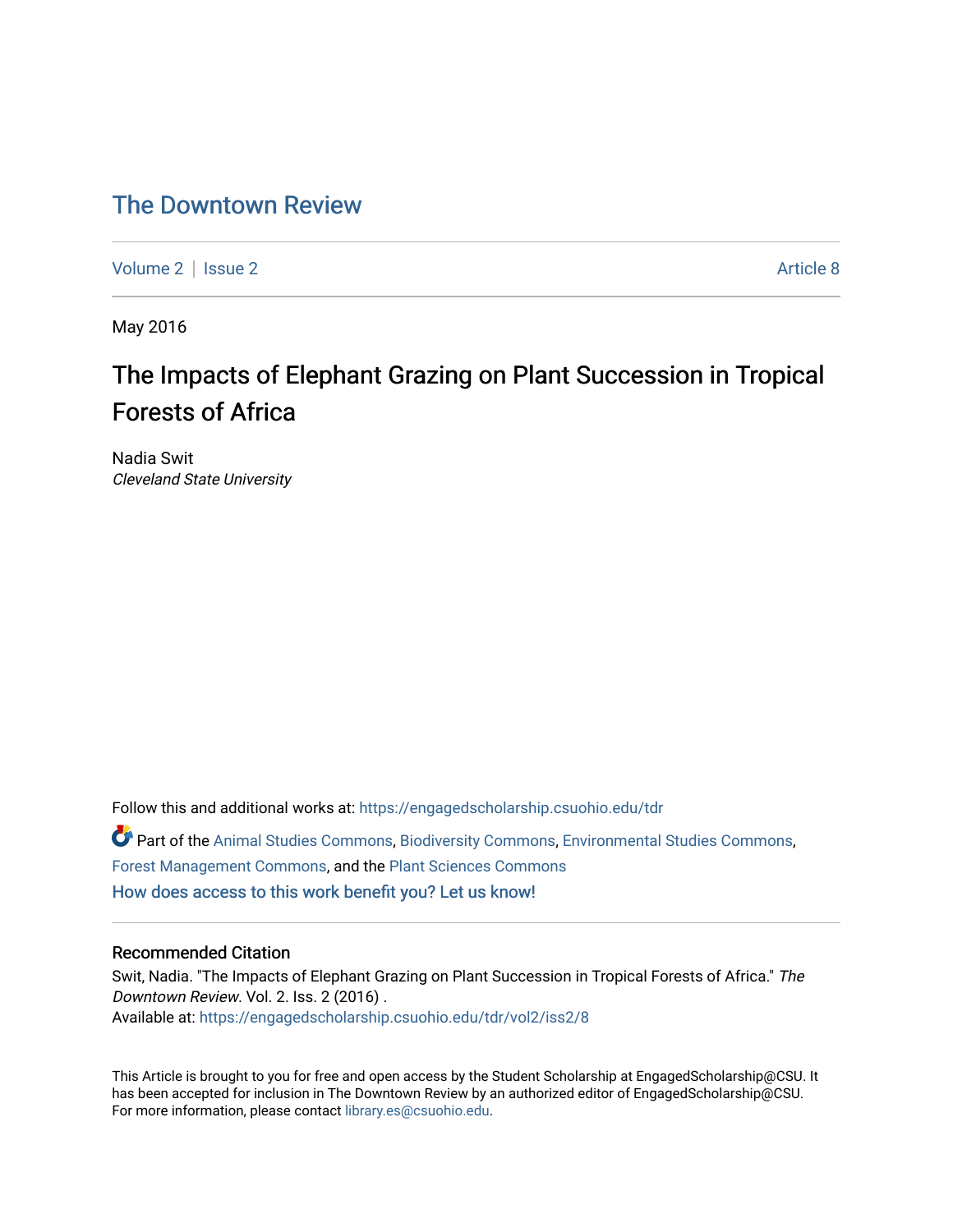## [The Downtown Review](https://engagedscholarship.csuohio.edu/tdr)

[Volume 2](https://engagedscholarship.csuohio.edu/tdr/vol2) | [Issue 2](https://engagedscholarship.csuohio.edu/tdr/vol2/iss2) Article 8

May 2016

# The Impacts of Elephant Grazing on Plant Succession in Tropical Forests of Africa

Nadia Swit Cleveland State University

Follow this and additional works at: [https://engagedscholarship.csuohio.edu/tdr](https://engagedscholarship.csuohio.edu/tdr?utm_source=engagedscholarship.csuohio.edu%2Ftdr%2Fvol2%2Fiss2%2F8&utm_medium=PDF&utm_campaign=PDFCoverPages)  Part of the [Animal Studies Commons,](http://network.bepress.com/hgg/discipline/1306?utm_source=engagedscholarship.csuohio.edu%2Ftdr%2Fvol2%2Fiss2%2F8&utm_medium=PDF&utm_campaign=PDFCoverPages) [Biodiversity Commons](http://network.bepress.com/hgg/discipline/1127?utm_source=engagedscholarship.csuohio.edu%2Ftdr%2Fvol2%2Fiss2%2F8&utm_medium=PDF&utm_campaign=PDFCoverPages), [Environmental Studies Commons,](http://network.bepress.com/hgg/discipline/1333?utm_source=engagedscholarship.csuohio.edu%2Ftdr%2Fvol2%2Fiss2%2F8&utm_medium=PDF&utm_campaign=PDFCoverPages) [Forest Management Commons](http://network.bepress.com/hgg/discipline/92?utm_source=engagedscholarship.csuohio.edu%2Ftdr%2Fvol2%2Fiss2%2F8&utm_medium=PDF&utm_campaign=PDFCoverPages), and the [Plant Sciences Commons](http://network.bepress.com/hgg/discipline/102?utm_source=engagedscholarship.csuohio.edu%2Ftdr%2Fvol2%2Fiss2%2F8&utm_medium=PDF&utm_campaign=PDFCoverPages) [How does access to this work benefit you? Let us know!](http://library.csuohio.edu/engaged/)

## Recommended Citation

Swit, Nadia. "The Impacts of Elephant Grazing on Plant Succession in Tropical Forests of Africa." The Downtown Review. Vol. 2. Iss. 2 (2016) . Available at: [https://engagedscholarship.csuohio.edu/tdr/vol2/iss2/8](https://engagedscholarship.csuohio.edu/tdr/vol2/iss2/8?utm_source=engagedscholarship.csuohio.edu%2Ftdr%2Fvol2%2Fiss2%2F8&utm_medium=PDF&utm_campaign=PDFCoverPages) 

This Article is brought to you for free and open access by the Student Scholarship at EngagedScholarship@CSU. It has been accepted for inclusion in The Downtown Review by an authorized editor of EngagedScholarship@CSU. For more information, please contact [library.es@csuohio.edu.](mailto:library.es@csuohio.edu)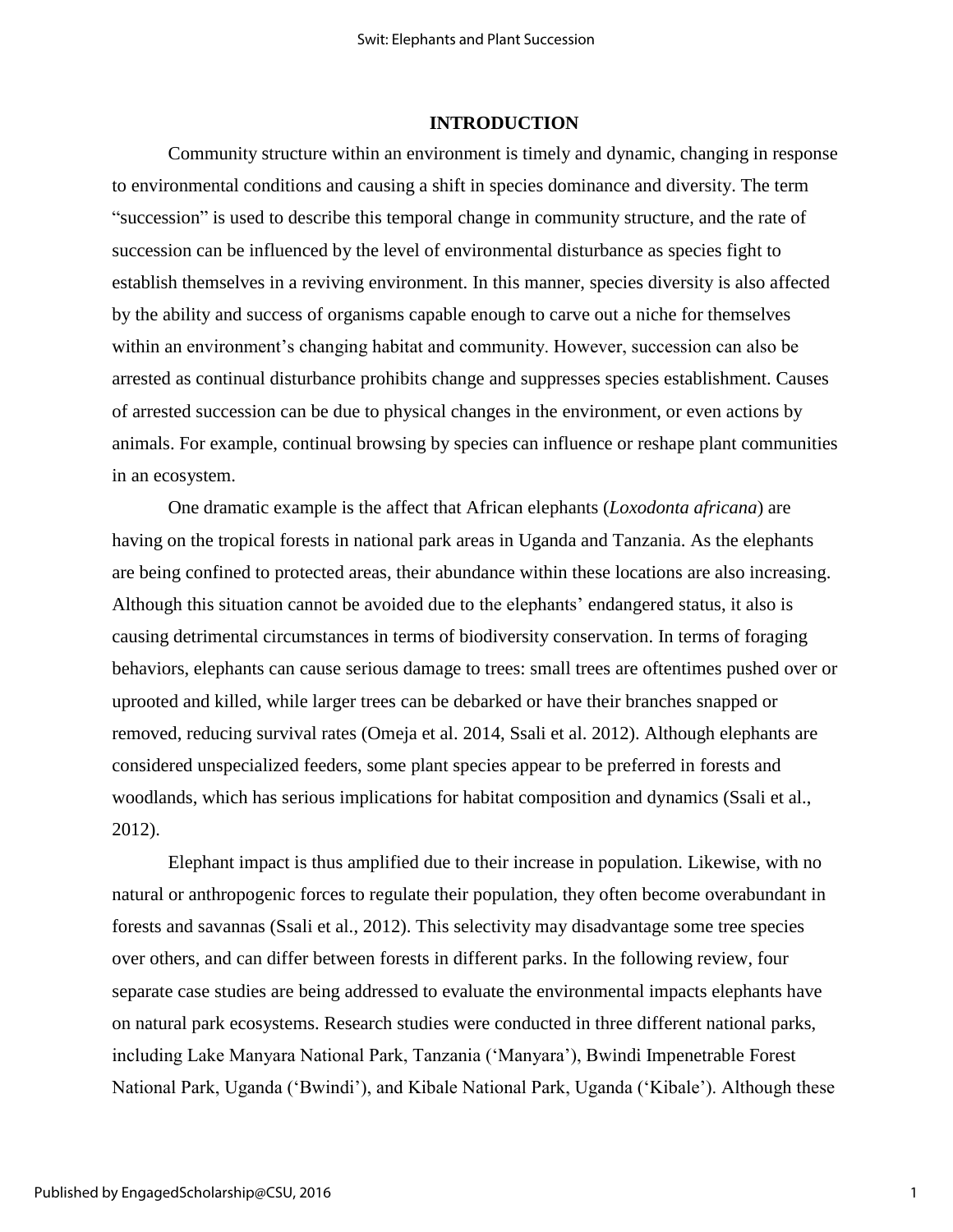## **INTRODUCTION**

Community structure within an environment is timely and dynamic, changing in response to environmental conditions and causing a shift in species dominance and diversity. The term "succession" is used to describe this temporal change in community structure, and the rate of succession can be influenced by the level of environmental disturbance as species fight to establish themselves in a reviving environment. In this manner, species diversity is also affected by the ability and success of organisms capable enough to carve out a niche for themselves within an environment's changing habitat and community. However, succession can also be arrested as continual disturbance prohibits change and suppresses species establishment. Causes of arrested succession can be due to physical changes in the environment, or even actions by animals. For example, continual browsing by species can influence or reshape plant communities in an ecosystem.

One dramatic example is the affect that African elephants (*Loxodonta africana*) are having on the tropical forests in national park areas in Uganda and Tanzania. As the elephants are being confined to protected areas, their abundance within these locations are also increasing. Although this situation cannot be avoided due to the elephants' endangered status, it also is causing detrimental circumstances in terms of biodiversity conservation. In terms of foraging behaviors, elephants can cause serious damage to trees: small trees are oftentimes pushed over or uprooted and killed, while larger trees can be debarked or have their branches snapped or removed, reducing survival rates (Omeja et al. 2014, Ssali et al. 2012). Although elephants are considered unspecialized feeders, some plant species appear to be preferred in forests and woodlands, which has serious implications for habitat composition and dynamics (Ssali et al., 2012).

Elephant impact is thus amplified due to their increase in population. Likewise, with no natural or anthropogenic forces to regulate their population, they often become overabundant in forests and savannas (Ssali et al., 2012). This selectivity may disadvantage some tree species over others, and can differ between forests in different parks. In the following review, four separate case studies are being addressed to evaluate the environmental impacts elephants have on natural park ecosystems. Research studies were conducted in three different national parks, including Lake Manyara National Park, Tanzania ('Manyara'), Bwindi Impenetrable Forest National Park, Uganda ('Bwindi'), and Kibale National Park, Uganda ('Kibale'). Although these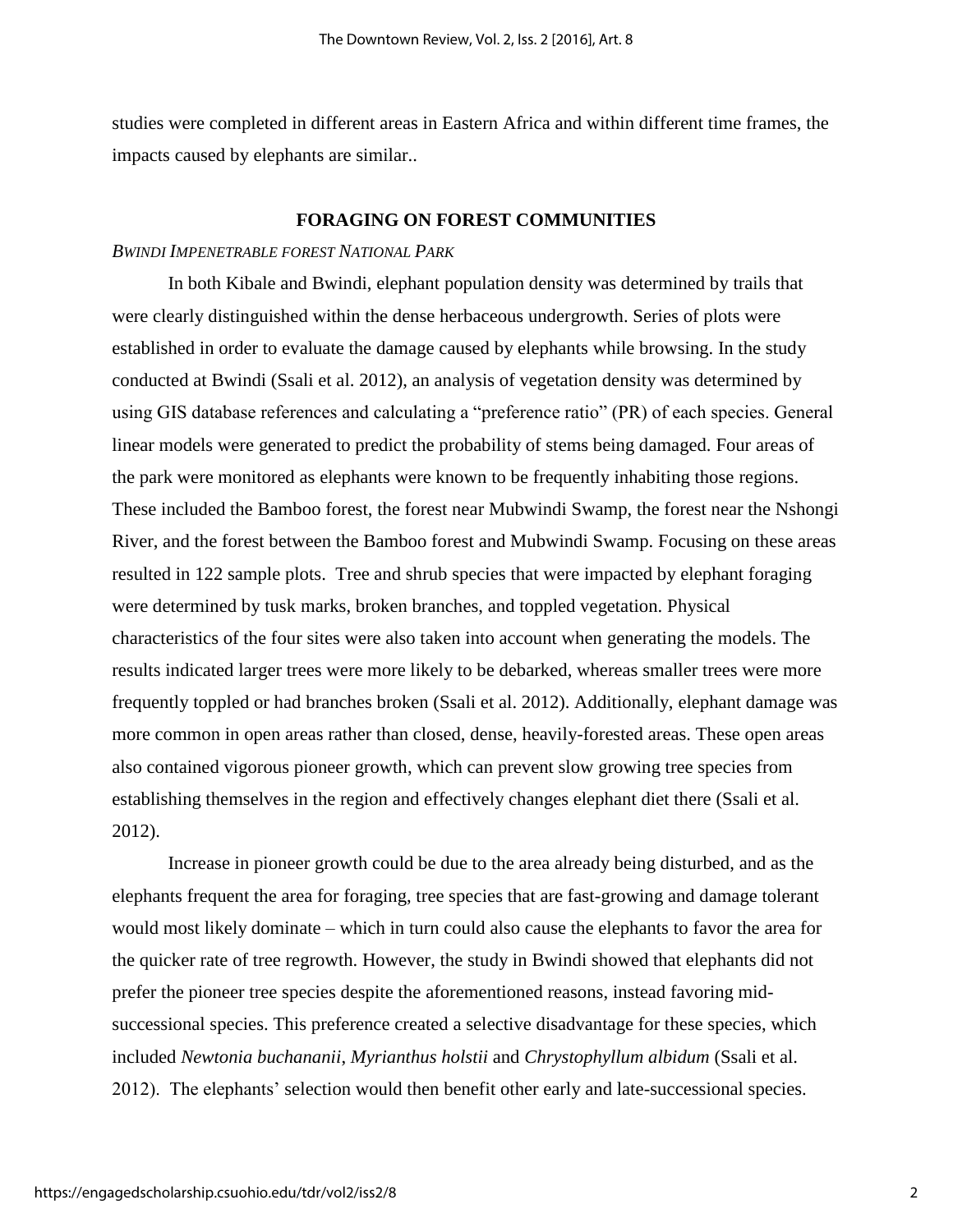studies were completed in different areas in Eastern Africa and within different time frames, the impacts caused by elephants are similar..

### **FORAGING ON FOREST COMMUNITIES**

## *BWINDI IMPENETRABLE FOREST NATIONAL PARK*

In both Kibale and Bwindi, elephant population density was determined by trails that were clearly distinguished within the dense herbaceous undergrowth. Series of plots were established in order to evaluate the damage caused by elephants while browsing. In the study conducted at Bwindi (Ssali et al. 2012), an analysis of vegetation density was determined by using GIS database references and calculating a "preference ratio" (PR) of each species. General linear models were generated to predict the probability of stems being damaged. Four areas of the park were monitored as elephants were known to be frequently inhabiting those regions. These included the Bamboo forest, the forest near Mubwindi Swamp, the forest near the Nshongi River, and the forest between the Bamboo forest and Mubwindi Swamp. Focusing on these areas resulted in 122 sample plots. Tree and shrub species that were impacted by elephant foraging were determined by tusk marks, broken branches, and toppled vegetation. Physical characteristics of the four sites were also taken into account when generating the models. The results indicated larger trees were more likely to be debarked, whereas smaller trees were more frequently toppled or had branches broken (Ssali et al. 2012). Additionally, elephant damage was more common in open areas rather than closed, dense, heavily-forested areas. These open areas also contained vigorous pioneer growth, which can prevent slow growing tree species from establishing themselves in the region and effectively changes elephant diet there (Ssali et al. 2012).

Increase in pioneer growth could be due to the area already being disturbed, and as the elephants frequent the area for foraging, tree species that are fast-growing and damage tolerant would most likely dominate – which in turn could also cause the elephants to favor the area for the quicker rate of tree regrowth. However, the study in Bwindi showed that elephants did not prefer the pioneer tree species despite the aforementioned reasons, instead favoring midsuccessional species. This preference created a selective disadvantage for these species, which included *Newtonia buchananii*, *Myrianthus holstii* and *Chrystophyllum albidum* (Ssali et al. 2012). The elephants' selection would then benefit other early and late-successional species.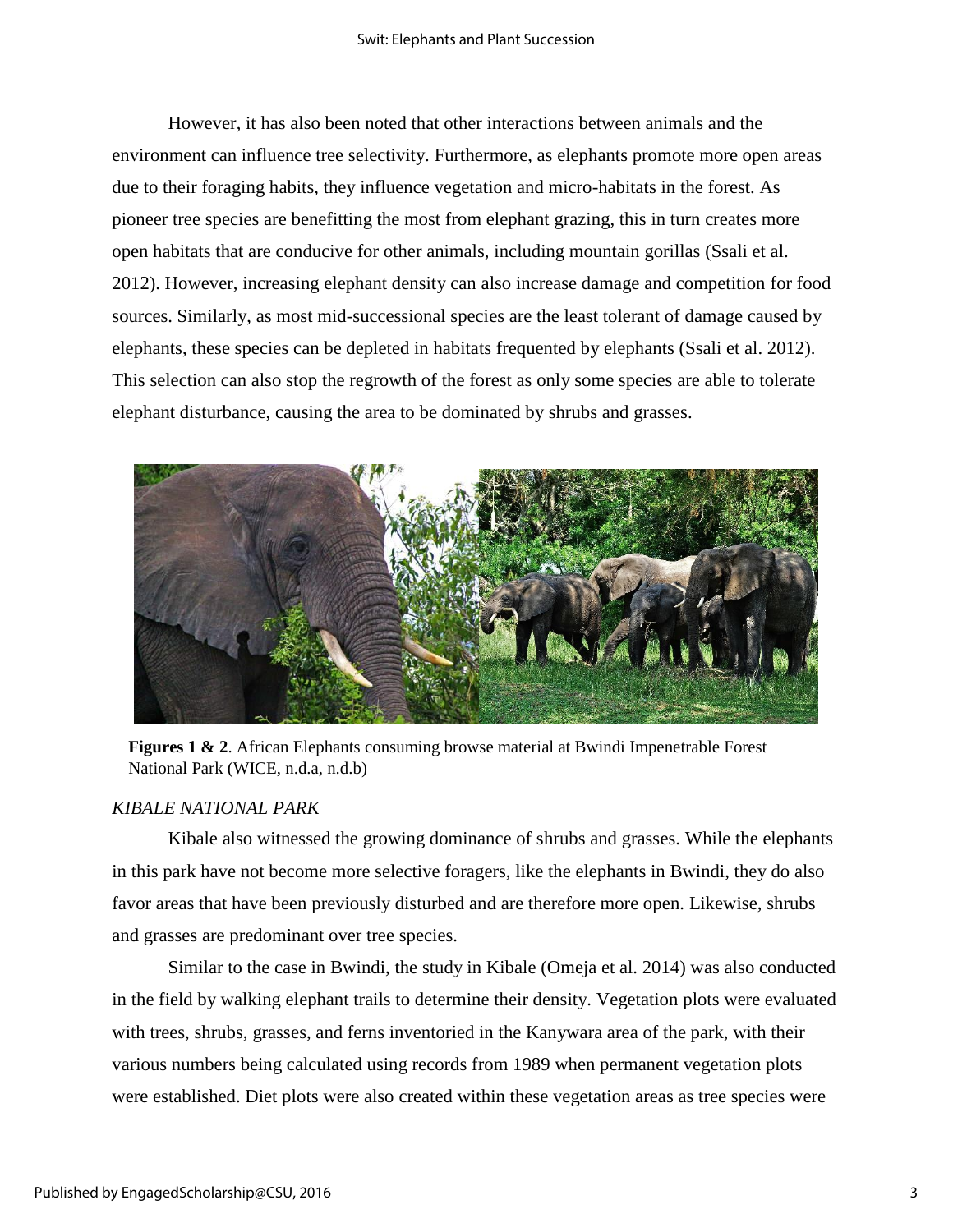However, it has also been noted that other interactions between animals and the environment can influence tree selectivity. Furthermore, as elephants promote more open areas due to their foraging habits, they influence vegetation and micro-habitats in the forest. As pioneer tree species are benefitting the most from elephant grazing, this in turn creates more open habitats that are conducive for other animals, including mountain gorillas (Ssali et al. 2012). However, increasing elephant density can also increase damage and competition for food sources. Similarly, as most mid-successional species are the least tolerant of damage caused by elephants, these species can be depleted in habitats frequented by elephants (Ssali et al. 2012). This selection can also stop the regrowth of the forest as only some species are able to tolerate elephant disturbance, causing the area to be dominated by shrubs and grasses.



**Figures 1 & 2**. African Elephants consuming browse material at Bwindi Impenetrable Forest National Park (WICE, n.d.a, n.d.b)

## *KIBALE NATIONAL PARK*

Kibale also witnessed the growing dominance of shrubs and grasses. While the elephants in this park have not become more selective foragers, like the elephants in Bwindi, they do also favor areas that have been previously disturbed and are therefore more open. Likewise, shrubs and grasses are predominant over tree species.

Similar to the case in Bwindi, the study in Kibale (Omeja et al. 2014) was also conducted in the field by walking elephant trails to determine their density. Vegetation plots were evaluated with trees, shrubs, grasses, and ferns inventoried in the Kanywara area of the park, with their various numbers being calculated using records from 1989 when permanent vegetation plots were established. Diet plots were also created within these vegetation areas as tree species were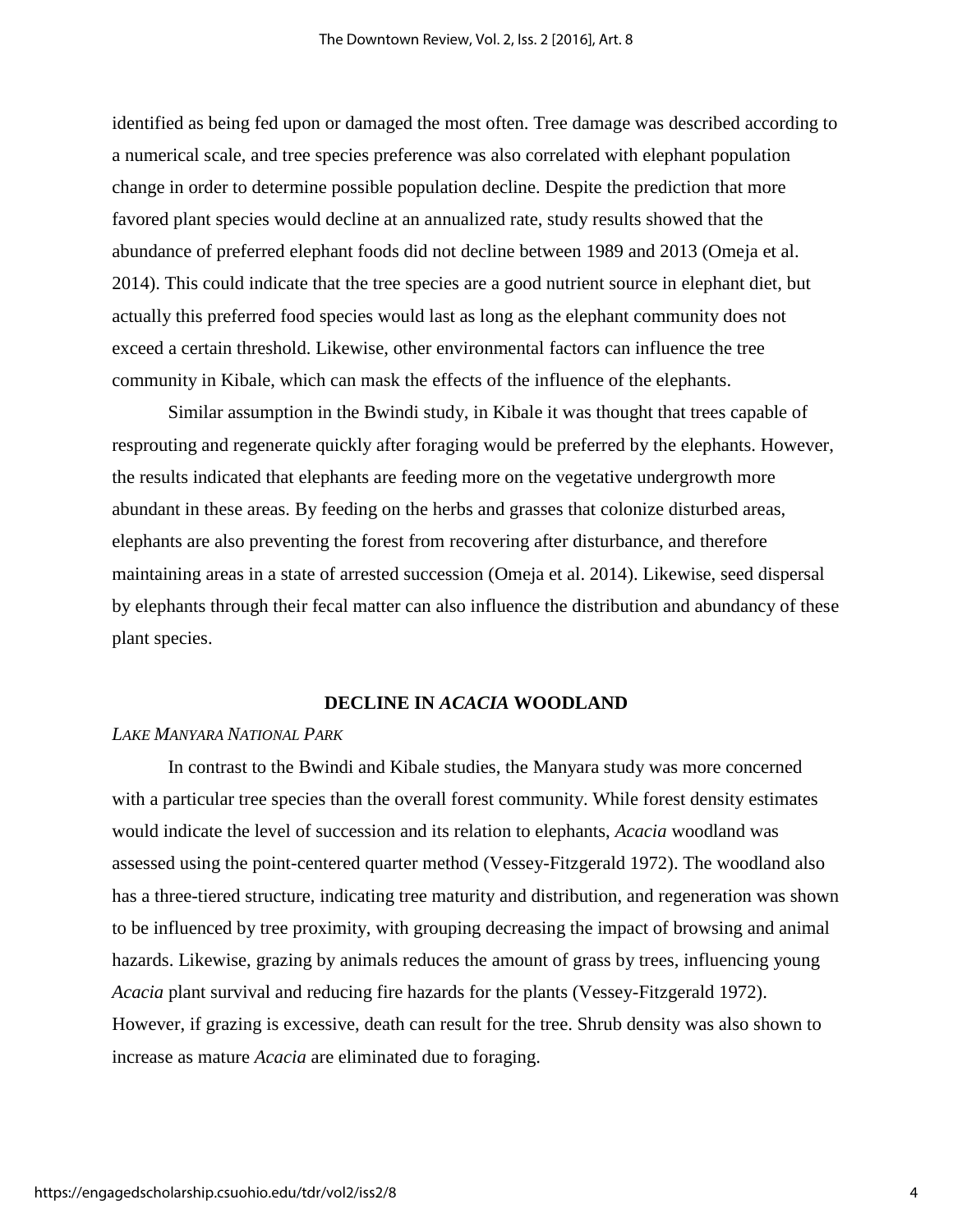identified as being fed upon or damaged the most often. Tree damage was described according to a numerical scale, and tree species preference was also correlated with elephant population change in order to determine possible population decline. Despite the prediction that more favored plant species would decline at an annualized rate, study results showed that the abundance of preferred elephant foods did not decline between 1989 and 2013 (Omeja et al. 2014). This could indicate that the tree species are a good nutrient source in elephant diet, but actually this preferred food species would last as long as the elephant community does not exceed a certain threshold. Likewise, other environmental factors can influence the tree community in Kibale, which can mask the effects of the influence of the elephants.

Similar assumption in the Bwindi study, in Kibale it was thought that trees capable of resprouting and regenerate quickly after foraging would be preferred by the elephants. However, the results indicated that elephants are feeding more on the vegetative undergrowth more abundant in these areas. By feeding on the herbs and grasses that colonize disturbed areas, elephants are also preventing the forest from recovering after disturbance, and therefore maintaining areas in a state of arrested succession (Omeja et al. 2014). Likewise, seed dispersal by elephants through their fecal matter can also influence the distribution and abundancy of these plant species.

#### **DECLINE IN** *ACACIA* **WOODLAND**

## *LAKE MANYARA NATIONAL PARK*

In contrast to the Bwindi and Kibale studies, the Manyara study was more concerned with a particular tree species than the overall forest community. While forest density estimates would indicate the level of succession and its relation to elephants, *Acacia* woodland was assessed using the point-centered quarter method (Vessey-Fitzgerald 1972). The woodland also has a three-tiered structure, indicating tree maturity and distribution, and regeneration was shown to be influenced by tree proximity, with grouping decreasing the impact of browsing and animal hazards. Likewise, grazing by animals reduces the amount of grass by trees, influencing young *Acacia* plant survival and reducing fire hazards for the plants (Vessey-Fitzgerald 1972). However, if grazing is excessive, death can result for the tree. Shrub density was also shown to increase as mature *Acacia* are eliminated due to foraging.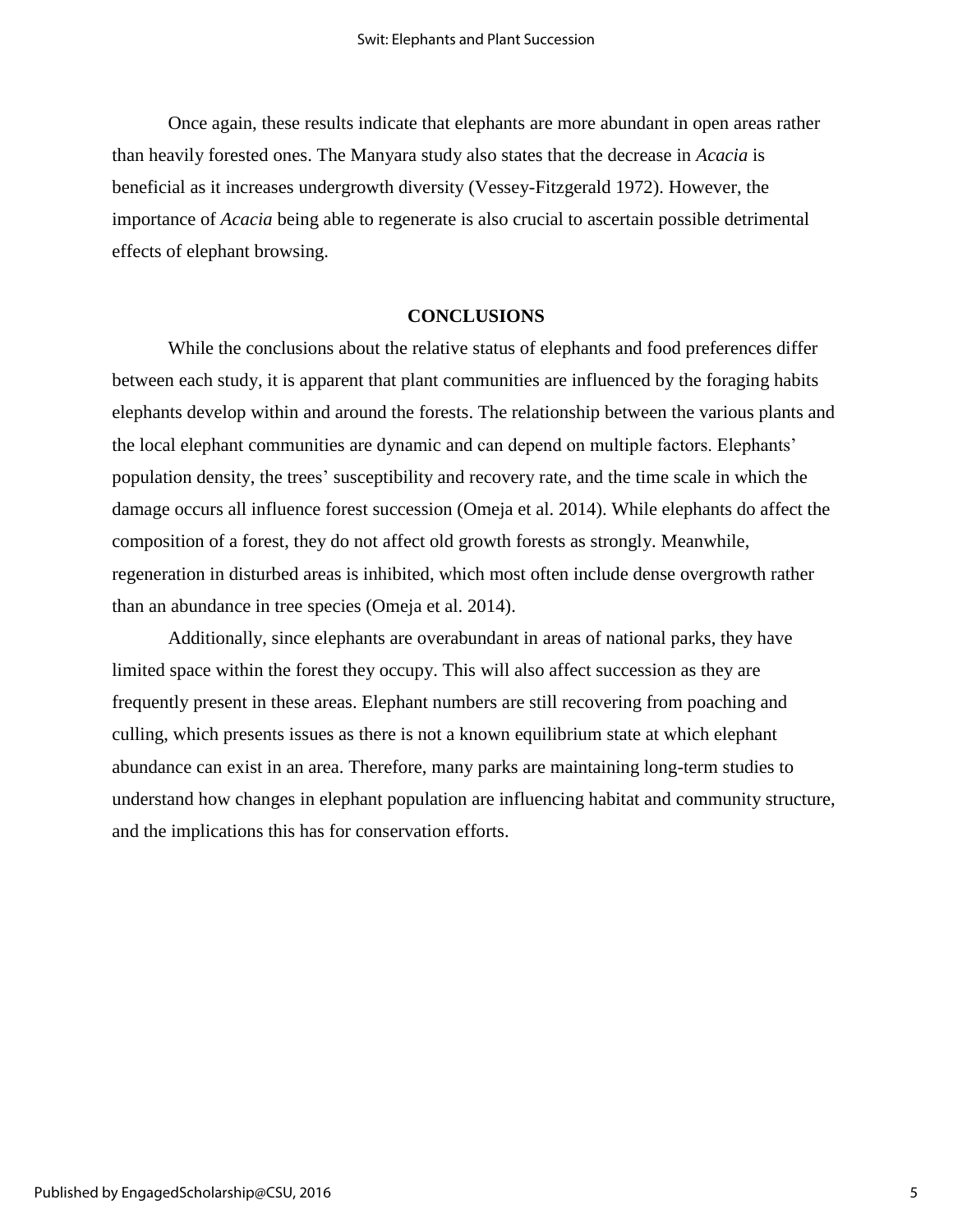Once again, these results indicate that elephants are more abundant in open areas rather than heavily forested ones. The Manyara study also states that the decrease in *Acacia* is beneficial as it increases undergrowth diversity (Vessey-Fitzgerald 1972). However, the importance of *Acacia* being able to regenerate is also crucial to ascertain possible detrimental effects of elephant browsing.

## **CONCLUSIONS**

While the conclusions about the relative status of elephants and food preferences differ between each study, it is apparent that plant communities are influenced by the foraging habits elephants develop within and around the forests. The relationship between the various plants and the local elephant communities are dynamic and can depend on multiple factors. Elephants' population density, the trees' susceptibility and recovery rate, and the time scale in which the damage occurs all influence forest succession (Omeja et al. 2014). While elephants do affect the composition of a forest, they do not affect old growth forests as strongly. Meanwhile, regeneration in disturbed areas is inhibited, which most often include dense overgrowth rather than an abundance in tree species (Omeja et al. 2014).

Additionally, since elephants are overabundant in areas of national parks, they have limited space within the forest they occupy. This will also affect succession as they are frequently present in these areas. Elephant numbers are still recovering from poaching and culling, which presents issues as there is not a known equilibrium state at which elephant abundance can exist in an area. Therefore, many parks are maintaining long-term studies to understand how changes in elephant population are influencing habitat and community structure, and the implications this has for conservation efforts.